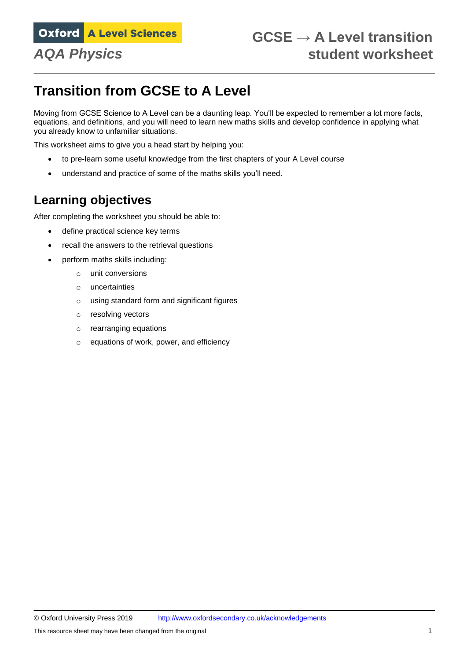# **Transition from GCSE to A Level**

Moving from GCSE Science to A Level can be a daunting leap. You'll be expected to remember a lot more facts, equations, and definitions, and you will need to learn new maths skills and develop confidence in applying what you already know to unfamiliar situations.

This worksheet aims to give you a head start by helping you:

- to pre-learn some useful knowledge from the first chapters of your A Level course
- understand and practice of some of the maths skills you'll need.

# **Learning objectives**

After completing the worksheet you should be able to:

- define practical science key terms
- recall the answers to the retrieval questions
- perform maths skills including:
	- o unit conversions
	- o uncertainties
	- o using standard form and significant figures
	- o resolving vectors
	- o rearranging equations
	- o equations of work, power, and efficiency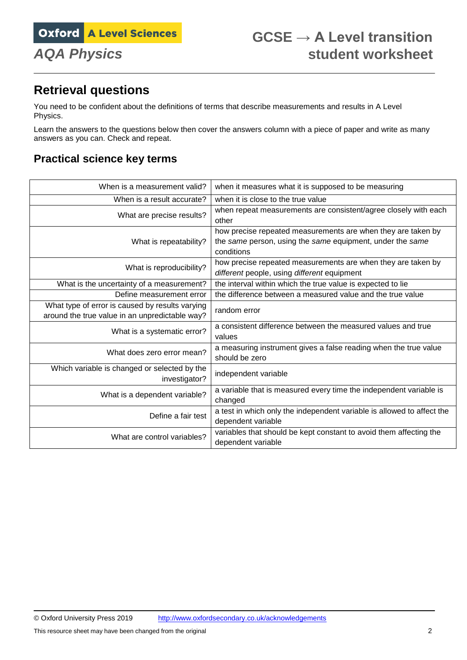# **Retrieval questions**

You need to be confident about the definitions of terms that describe measurements and results in A Level Physics.

Learn the answers to the questions below then cover the answers column with a piece of paper and write as many answers as you can. Check and repeat.

# **Practical science key terms**

| When is a measurement valid?                                                                      | when it measures what it is supposed to be measuring                                                                                    |  |  |
|---------------------------------------------------------------------------------------------------|-----------------------------------------------------------------------------------------------------------------------------------------|--|--|
| When is a result accurate?                                                                        | when it is close to the true value                                                                                                      |  |  |
| What are precise results?                                                                         | when repeat measurements are consistent/agree closely with each<br>other                                                                |  |  |
| What is repeatability?                                                                            | how precise repeated measurements are when they are taken by<br>the same person, using the same equipment, under the same<br>conditions |  |  |
| What is reproducibility?                                                                          | how precise repeated measurements are when they are taken by<br>different people, using different equipment                             |  |  |
| What is the uncertainty of a measurement?                                                         | the interval within which the true value is expected to lie                                                                             |  |  |
| Define measurement error                                                                          | the difference between a measured value and the true value                                                                              |  |  |
| What type of error is caused by results varying<br>around the true value in an unpredictable way? | random error                                                                                                                            |  |  |
| What is a systematic error?                                                                       | a consistent difference between the measured values and true<br>values                                                                  |  |  |
| What does zero error mean?                                                                        | a measuring instrument gives a false reading when the true value<br>should be zero                                                      |  |  |
| Which variable is changed or selected by the<br>investigator?                                     | independent variable                                                                                                                    |  |  |
| What is a dependent variable?                                                                     | a variable that is measured every time the independent variable is<br>changed                                                           |  |  |
| Define a fair test                                                                                | a test in which only the independent variable is allowed to affect the<br>dependent variable                                            |  |  |
| What are control variables?                                                                       | variables that should be kept constant to avoid them affecting the<br>dependent variable                                                |  |  |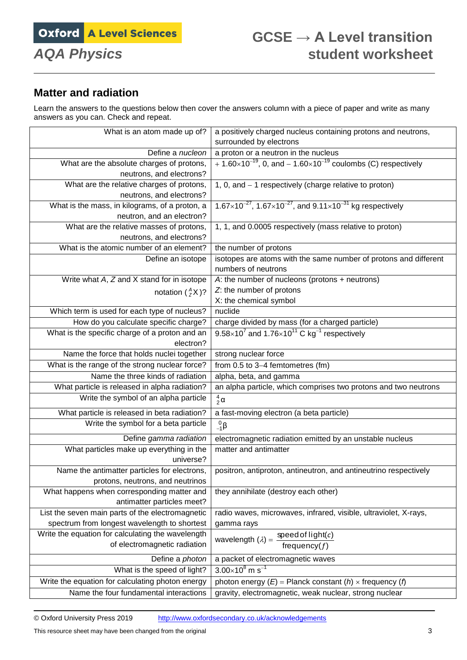# **Matter and radiation**

Learn the answers to the questions below then cover the answers column with a piece of paper and write as many answers as you can. Check and repeat.

| surrounded by electrons<br>Define a nucleon<br>a proton or a neutron in the nucleus<br>+ 1.60×10 <sup>-19</sup> , 0, and – 1.60×10 <sup>-19</sup> coulombs (C) respectively<br>What are the absolute charges of protons,<br>neutrons, and electrons?<br>What are the relative charges of protons,<br>1, 0, and - 1 respectively (charge relative to proton)<br>neutrons, and electrons?<br>$1.67\times10^{-27}$ , $1.67\times10^{-27}$ , and $9.11\times10^{-31}$ kg respectively<br>What is the mass, in kilograms, of a proton, a<br>neutron, and an electron?<br>What are the relative masses of protons,<br>1, 1, and 0.0005 respectively (mass relative to proton)<br>neutrons, and electrons?<br>What is the atomic number of an element?<br>the number of protons<br>Define an isotope<br>isotopes are atoms with the same number of protons and different<br>numbers of neutrons |
|------------------------------------------------------------------------------------------------------------------------------------------------------------------------------------------------------------------------------------------------------------------------------------------------------------------------------------------------------------------------------------------------------------------------------------------------------------------------------------------------------------------------------------------------------------------------------------------------------------------------------------------------------------------------------------------------------------------------------------------------------------------------------------------------------------------------------------------------------------------------------------------|
|                                                                                                                                                                                                                                                                                                                                                                                                                                                                                                                                                                                                                                                                                                                                                                                                                                                                                          |
|                                                                                                                                                                                                                                                                                                                                                                                                                                                                                                                                                                                                                                                                                                                                                                                                                                                                                          |
|                                                                                                                                                                                                                                                                                                                                                                                                                                                                                                                                                                                                                                                                                                                                                                                                                                                                                          |
|                                                                                                                                                                                                                                                                                                                                                                                                                                                                                                                                                                                                                                                                                                                                                                                                                                                                                          |
|                                                                                                                                                                                                                                                                                                                                                                                                                                                                                                                                                                                                                                                                                                                                                                                                                                                                                          |
|                                                                                                                                                                                                                                                                                                                                                                                                                                                                                                                                                                                                                                                                                                                                                                                                                                                                                          |
|                                                                                                                                                                                                                                                                                                                                                                                                                                                                                                                                                                                                                                                                                                                                                                                                                                                                                          |
|                                                                                                                                                                                                                                                                                                                                                                                                                                                                                                                                                                                                                                                                                                                                                                                                                                                                                          |
|                                                                                                                                                                                                                                                                                                                                                                                                                                                                                                                                                                                                                                                                                                                                                                                                                                                                                          |
|                                                                                                                                                                                                                                                                                                                                                                                                                                                                                                                                                                                                                                                                                                                                                                                                                                                                                          |
|                                                                                                                                                                                                                                                                                                                                                                                                                                                                                                                                                                                                                                                                                                                                                                                                                                                                                          |
|                                                                                                                                                                                                                                                                                                                                                                                                                                                                                                                                                                                                                                                                                                                                                                                                                                                                                          |
| Write what A, Z and X stand for in isotope<br>A: the number of nucleons (protons + neutrons)                                                                                                                                                                                                                                                                                                                                                                                                                                                                                                                                                                                                                                                                                                                                                                                             |
| Z: the number of protons<br>notation $\binom{A}{7}$ X)?                                                                                                                                                                                                                                                                                                                                                                                                                                                                                                                                                                                                                                                                                                                                                                                                                                  |
| X: the chemical symbol                                                                                                                                                                                                                                                                                                                                                                                                                                                                                                                                                                                                                                                                                                                                                                                                                                                                   |
| Which term is used for each type of nucleus?<br>nuclide                                                                                                                                                                                                                                                                                                                                                                                                                                                                                                                                                                                                                                                                                                                                                                                                                                  |
| charge divided by mass (for a charged particle)<br>How do you calculate specific charge?                                                                                                                                                                                                                                                                                                                                                                                                                                                                                                                                                                                                                                                                                                                                                                                                 |
| $9.58\times10^7$ and 1.76 $\times10^{11}$ C kg <sup>-1</sup> respectively<br>What is the specific charge of a proton and an                                                                                                                                                                                                                                                                                                                                                                                                                                                                                                                                                                                                                                                                                                                                                              |
| electron?                                                                                                                                                                                                                                                                                                                                                                                                                                                                                                                                                                                                                                                                                                                                                                                                                                                                                |
| Name the force that holds nuclei together<br>strong nuclear force                                                                                                                                                                                                                                                                                                                                                                                                                                                                                                                                                                                                                                                                                                                                                                                                                        |
| What is the range of the strong nuclear force?<br>from $0.5$ to $3-4$ femtometres (fm)                                                                                                                                                                                                                                                                                                                                                                                                                                                                                                                                                                                                                                                                                                                                                                                                   |
| Name the three kinds of radiation<br>alpha, beta, and gamma                                                                                                                                                                                                                                                                                                                                                                                                                                                                                                                                                                                                                                                                                                                                                                                                                              |
| What particle is released in alpha radiation?<br>an alpha particle, which comprises two protons and two neutrons                                                                                                                                                                                                                                                                                                                                                                                                                                                                                                                                                                                                                                                                                                                                                                         |
| Write the symbol of an alpha particle<br>$\frac{4}{2}$ $\alpha$                                                                                                                                                                                                                                                                                                                                                                                                                                                                                                                                                                                                                                                                                                                                                                                                                          |
| What particle is released in beta radiation?<br>a fast-moving electron (a beta particle)                                                                                                                                                                                                                                                                                                                                                                                                                                                                                                                                                                                                                                                                                                                                                                                                 |
| Write the symbol for a beta particle<br>$^{0}_{-1}$ $\beta$                                                                                                                                                                                                                                                                                                                                                                                                                                                                                                                                                                                                                                                                                                                                                                                                                              |
| Define gamma radiation<br>electromagnetic radiation emitted by an unstable nucleus                                                                                                                                                                                                                                                                                                                                                                                                                                                                                                                                                                                                                                                                                                                                                                                                       |
| What particles make up everything in the<br>matter and antimatter<br>universe?                                                                                                                                                                                                                                                                                                                                                                                                                                                                                                                                                                                                                                                                                                                                                                                                           |
| Name the antimatter particles for electrons,<br>positron, antiproton, antineutron, and antineutrino respectively                                                                                                                                                                                                                                                                                                                                                                                                                                                                                                                                                                                                                                                                                                                                                                         |
| protons, neutrons, and neutrinos                                                                                                                                                                                                                                                                                                                                                                                                                                                                                                                                                                                                                                                                                                                                                                                                                                                         |
| What happens when corresponding matter and<br>they annihilate (destroy each other)                                                                                                                                                                                                                                                                                                                                                                                                                                                                                                                                                                                                                                                                                                                                                                                                       |
| antimatter particles meet?                                                                                                                                                                                                                                                                                                                                                                                                                                                                                                                                                                                                                                                                                                                                                                                                                                                               |
| List the seven main parts of the electromagnetic<br>radio waves, microwaves, infrared, visible, ultraviolet, X-rays,                                                                                                                                                                                                                                                                                                                                                                                                                                                                                                                                                                                                                                                                                                                                                                     |
| spectrum from longest wavelength to shortest<br>gamma rays                                                                                                                                                                                                                                                                                                                                                                                                                                                                                                                                                                                                                                                                                                                                                                                                                               |
| Write the equation for calculating the wavelength                                                                                                                                                                                                                                                                                                                                                                                                                                                                                                                                                                                                                                                                                                                                                                                                                                        |
| wavelength $(\lambda) = \frac{\text{speed of light}(c)}{\text{frequency}(f)}$<br>of electromagnetic radiation                                                                                                                                                                                                                                                                                                                                                                                                                                                                                                                                                                                                                                                                                                                                                                            |
| Define a photon<br>a packet of electromagnetic waves                                                                                                                                                                                                                                                                                                                                                                                                                                                                                                                                                                                                                                                                                                                                                                                                                                     |
| $3.00\times10^8$ m s <sup>-1</sup><br>What is the speed of light?                                                                                                                                                                                                                                                                                                                                                                                                                                                                                                                                                                                                                                                                                                                                                                                                                        |
| Write the equation for calculating photon energy<br>photon energy $(E)$ = Planck constant $(h)$ x frequency $(h)$                                                                                                                                                                                                                                                                                                                                                                                                                                                                                                                                                                                                                                                                                                                                                                        |
| Name the four fundamental interactions<br>gravity, electromagnetic, weak nuclear, strong nuclear                                                                                                                                                                                                                                                                                                                                                                                                                                                                                                                                                                                                                                                                                                                                                                                         |

© Oxford University Press 2019 <http://www.oxfordsecondary.co.uk/acknowledgements>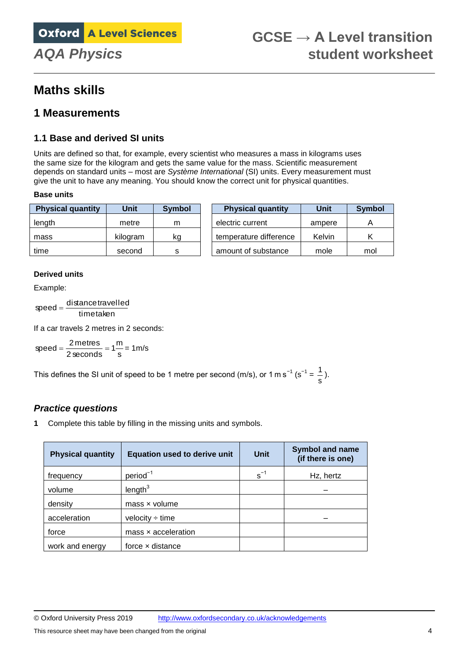# **Maths skills**

## **1 Measurements**

### **1.1 Base and derived SI units**

Units are defined so that, for example, every scientist who measures a mass in kilograms uses the same size for the kilogram and gets the same value for the mass. Scientific measurement depends on standard units – most are *Système International* (SI) units. Every measurement must give the unit to have any meaning. You should know the correct unit for physical quantities.

#### **Base units**

| <b>Physical quantity</b> | Unit     | Symbol | <b>Physical quantity</b> | Unit   | Symbol |
|--------------------------|----------|--------|--------------------------|--------|--------|
| length                   | metre    | m      | electric current         | ampere |        |
| mass                     | kilogram | kg     | temperature difference   | Kelvin |        |
| time                     | second   | s      | amount of substance      | mole   | mol    |

#### **Derived units**

Example:

timetaken  $speed = \frac{distance\,travelled}$ 

If a car travels 2 metres in 2 seconds:

s  $speed = \frac{2 \text{ metres}}{2 \text{ seconds}} = 1 \frac{\text{m}}{\text{s}} = 1 \text{ m/s}$ 

This defines the SI unit of speed to be 1 metre per second (m/s), or 1 m s<sup>-1</sup> (s<sup>-1</sup> =  $\frac{1}{s}$  $\frac{1}{2}$ .

### *Practice questions*

**1** Complete this table by filling in the missing units and symbols.

| <b>Physical quantity</b> | <b>Equation used to derive unit</b> | <b>Unit</b> | <b>Symbol and name</b><br>(if there is one) |
|--------------------------|-------------------------------------|-------------|---------------------------------------------|
| frequency                | $period-1$                          | $s^{-1}$    | Hz, hertz                                   |
| volume                   | length <sup>3</sup>                 |             |                                             |
| density                  | $mass \times volume$                |             |                                             |
| acceleration             | velocity $\div$ time                |             |                                             |
| force                    | $mass \times acceleration$          |             |                                             |
| work and energy          | force x distance                    |             |                                             |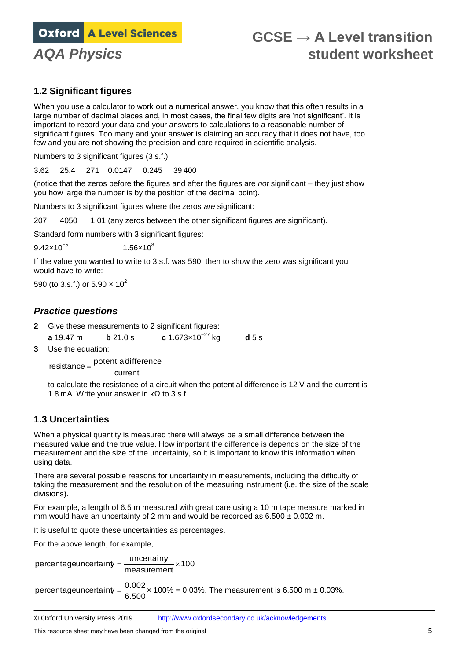### **1.2 Significant figures**

When you use a calculator to work out a numerical answer, you know that this often results in a large number of decimal places and, in most cases, the final few digits are 'not significant'. It is important to record your data and your answers to calculations to a reasonable number of significant figures. Too many and your answer is claiming an accuracy that it does not have, too few and you are not showing the precision and care required in scientific analysis.

Numbers to 3 significant figures (3 s.f.):

3.62 25.4 271 0.0147 0.245 39 400

(notice that the zeros before the figures and after the figures are *not* significant – they just show you how large the number is by the position of the decimal point).

Numbers to 3 significant figures where the zeros *are* significant:

207 4050 1.01 (any zeros between the other significant figures *are* significant).

Standard form numbers with 3 significant figures:

 $9.42\times10^{-5}$ 1.56 $\times$ 10<sup>8</sup>

If the value you wanted to write to 3.s.f. was 590, then to show the zero was significant you would have to write:

590 (to 3.s.f.) or 5.90  $\times$  10<sup>2</sup>

#### *Practice questions*

- **2** Give these measurements to 2 significant figures:
- **a** 19.47 m **b** 21.0 s **c** 1.673×10−27 kg **d** 5 s
- **3** Use the equation:

current  $resistance = \frac{potential}{}$ 

to calculate the resistance of a circuit when the potential difference is 12 V and the current is 1.8 mA. Write your answer in  $k\Omega$  to 3 s.f.

### **1.3 Uncertainties**

When a physical quantity is measured there will always be a small difference between the measured value and the true value. How important the difference is depends on the size of the measurement and the size of the uncertainty, so it is important to know this information when using data.

There are several possible reasons for uncertainty in measurements, including the difficulty of taking the measurement and the resolution of the measuring instrument (i.e. the size of the scale divisions).

For example, a length of 6.5 m measured with great care using a 10 m tape measure marked in mm would have an uncertainty of 2 mm and would be recorded as  $6.500 \pm 0.002$  m.

It is useful to quote these uncertainties as percentages.

For the above length, for example,

measurement ×100 percentageuncertainty =  $\frac{$ uncertainty  $\frac{1}{x}$ 

percentageuncertain $y = \frac{0.002}{6.500}$ × 100% = 0.03%. The measurement is 6.500 m ± 0.03%.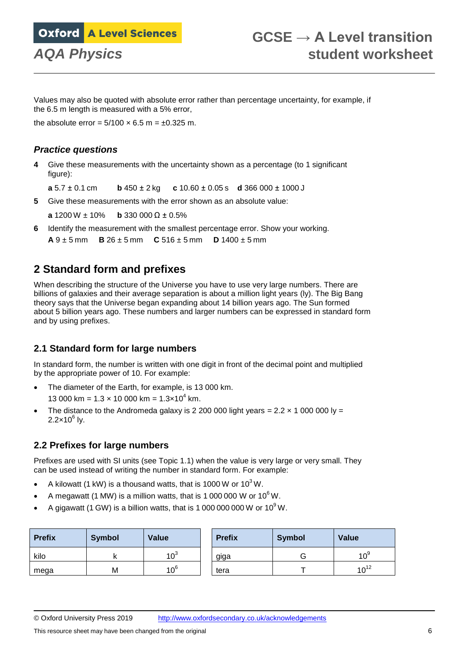Values may also be quoted with absolute error rather than percentage uncertainty, for example, if the 6.5 m length is measured with a 5% error,

the absolute error =  $5/100 \times 6.5$  m =  $\pm 0.325$  m.

#### *Practice questions*

**4** Give these measurements with the uncertainty shown as a percentage (to 1 significant figure):

**a** 5.7 ± 0.1 cm **b** 450 ± 2 kg **c** 10.60 ± 0.05 s **d** 366 000 ± 1000 J

**5** Give these measurements with the error shown as an absolute value:

**a** 1200 W ± 10% **b** 330 000 Ω ± 0.5%

**6** Identify the measurement with the smallest percentage error. Show your working.

**A** 9 ± 5 mm **B** 26 ± 5 mm **C** 516 ± 5 mm **D** 1400 ± 5 mm

## **2 Standard form and prefixes**

When describing the structure of the Universe you have to use very large numbers. There are billions of galaxies and their average separation is about a million light years (ly). The Big Bang theory says that the Universe began expanding about 14 billion years ago. The Sun formed about 5 billion years ago. These numbers and larger numbers can be expressed in standard form and by using prefixes.

### **2.1 Standard form for large numbers**

In standard form, the number is written with one digit in front of the decimal point and multiplied by the appropriate power of 10. For example:

- The diameter of the Earth, for example, is 13 000 km. 13 000 km =  $1.3 \times 10$  000 km =  $1.3 \times 10^4$  km.
- The distance to the Andromeda galaxy is 2 200 000 light years =  $2.2 \times 1000000$  ly = 2.2 $\times$ 10 $^6$  ly.

### **2.2 Prefixes for large numbers**

Prefixes are used with SI units (see Topic 1.1) when the value is very large or very small. They can be used instead of writing the number in standard form. For example:

- A kilowatt (1 kW) is a thousand watts, that is 1000 W or  $10^3$  W.
- A megawatt (1 MW) is a million watts, that is 1 000 000 W or  $10^6$  W.
- A gigawatt (1 GW) is a billion watts, that is 1 000 000 000 W or  $10^9$  W.

| <b>Prefix</b> | <b>Symbol</b> | <b>Value</b>    | <b>Prefix</b> | <b>Symbol</b> | Value           |
|---------------|---------------|-----------------|---------------|---------------|-----------------|
| kilo          |               | $10^3$          | giga          |               | 10 <sup>9</sup> |
| mega          | M             | 10 <sup>6</sup> | tera          |               | $10^{12}$       |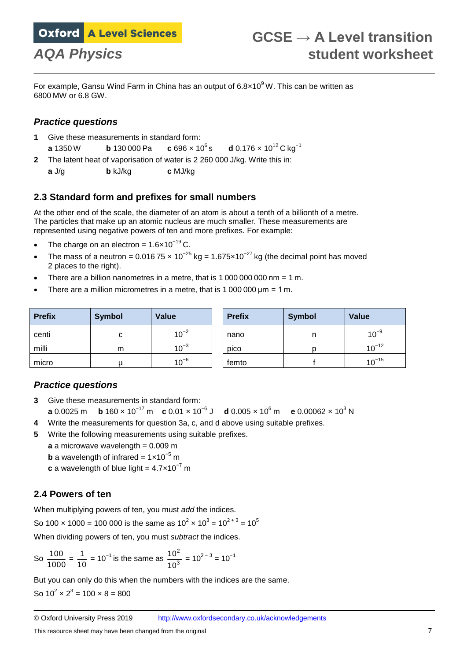For example, Gansu Wind Farm in China has an output of  $6.8 \times 10^9$  W. This can be written as 6800 MW or 6.8 GW.

### *Practice questions*

- **1** Give these measurements in standard form:
- **a** 1350 W **b** 130 000 Pa **c** 696  $\times$  10<sup>6</sup> s **d** 0.176  $\times$  10<sup>12</sup> C kg<sup>-1</sup>
- **2** The latent heat of vaporisation of water is 2 260 000 J/kg. Write this in:
- **a** J/g **b** kJ/kg **c** MJ/kg

### **2.3 Standard form and prefixes for small numbers**

At the other end of the scale, the diameter of an atom is about a tenth of a billionth of a metre. The particles that make up an atomic nucleus are much smaller. These measurements are represented using negative powers of ten and more prefixes. For example:

- The charge on an electron =  $1.6 \times 10^{-19}$  C.
- The mass of a neutron = 0.016 75  $\times$  10<sup>-25</sup> kg = 1.675 $\times$ 10<sup>-27</sup> kg (the decimal point has moved 2 places to the right).
- $\bullet$  There are a billion nanometres in a metre, that is 1 000 000 000 nm = 1 m.
- There are a million micrometres in a metre, that is 1 000 000 um = 1 m.

| <b>Prefix</b> | <b>Symbol</b> | <b>Value</b> | <b>Prefix</b> | <b>Symbol</b> | <b>Value</b> |
|---------------|---------------|--------------|---------------|---------------|--------------|
| centi         | ι.            | $10^{-2}$    | nano          |               | $10^{-9}$    |
| milli         | m             | $10^{-3}$    | pico          |               | $10^{-12}$   |
| micro         |               | $10^{-6}$    | femto         |               | $10^{-15}$   |

### *Practice questions*

- **3** Give these measurements in standard form: **a** 0.0025 m **b** 160 × 10<sup>−17</sup> m **c** 0.01 × 10<sup>−6</sup> J **d** 0.005 × 10<sup>6</sup> m **e** 0.00062 × 10<sup>3</sup> N
- **4** Write the measurements for question 3a, c, and d above using suitable prefixes.
- **5** Write the following measurements using suitable prefixes.
	- $a$  a microwave wavelength  $= 0.009$  m
	- **b** a wavelength of infrared =  $1 \times 10^{-5}$  m
	- **c** a wavelength of blue light =  $4.7 \times 10^{-7}$  m

### **2.4 Powers of ten**

When multiplying powers of ten, you must *add* the indices.

So 100  $\times$  1000 = 100 000 is the same as 10<sup>2</sup>  $\times$  10<sup>3</sup> = 10<sup>2 + 3</sup> = 10<sup>5</sup>

When dividing powers of ten, you must *subtract* the indices.

So 
$$
\frac{100}{1000} = \frac{1}{10} = 10^{-1}
$$
 is the same as  $\frac{10^2}{10^3} = 10^{2-3} = 10^{-1}$ 

But you can only do this when the numbers with the indices are the same.

So  $10^2 \times 2^3 = 100 \times 8 = 800$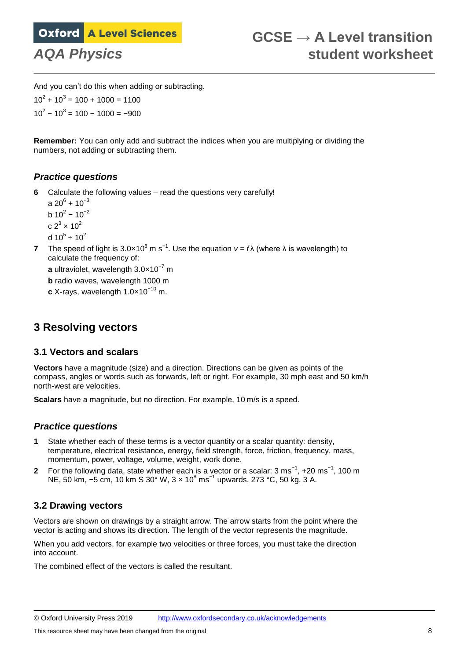And you can't do this when adding or subtracting.  $10^2 + 10^3 = 100 + 1000 = 1100$  $10^2 - 10^3 = 100 - 1000 = -900$ 

**Remember:** You can only add and subtract the indices when you are multiplying or dividing the numbers, not adding or subtracting them.

#### *Practice questions*

**6** Calculate the following values – read the questions very carefully!

a 20 $^6$  + 10 $^{-3}$ b 10<sup>2</sup> – 10<sup>-2</sup> c 2<sup>3</sup>  $\times$  10<sup>2</sup> d 10 $^5 \div$  10 $^2$ 

**7** The speed of light is 3.0×10<sup>8</sup> m s<sup>-1</sup>. Use the equation  $v = f\lambda$  (where  $\lambda$  is wavelength) to calculate the frequency of:

**a** ultraviolet, wavelength 3.0×10−7 m **b** radio waves, wavelength 1000 m

**c** X-rays, wavelength 1.0×10−10 m.

## **3 Resolving vectors**

#### **3.1 Vectors and scalars**

**Vectors** have a magnitude (size) and a direction. Directions can be given as points of the compass, angles or words such as forwards, left or right. For example, 30 mph east and 50 km/h north-west are velocities.

**Scalars** have a magnitude, but no direction. For example, 10 m/s is a speed.

#### *Practice questions*

- **1** State whether each of these terms is a vector quantity or a scalar quantity: density, temperature, electrical resistance, energy, field strength, force, friction, frequency, mass, momentum, power, voltage, volume, weight, work done.
- 2 For the following data, state whether each is a vector or a scalar: 3 ms<sup>-1</sup>, +20 ms<sup>-1</sup>, 100 m NE, 50 km, −5 cm, 10 km S 30° W, 3 × 10<sup>8</sup> ms<sup>−1</sup> upwards, 273 °C, 50 kg, 3 A.

#### **3.2 Drawing vectors**

Vectors are shown on drawings by a straight arrow. The arrow starts from the point where the vector is acting and shows its direction. The length of the vector represents the magnitude.

When you add vectors, for example two velocities or three forces, you must take the direction into account.

The combined effect of the vectors is called the resultant.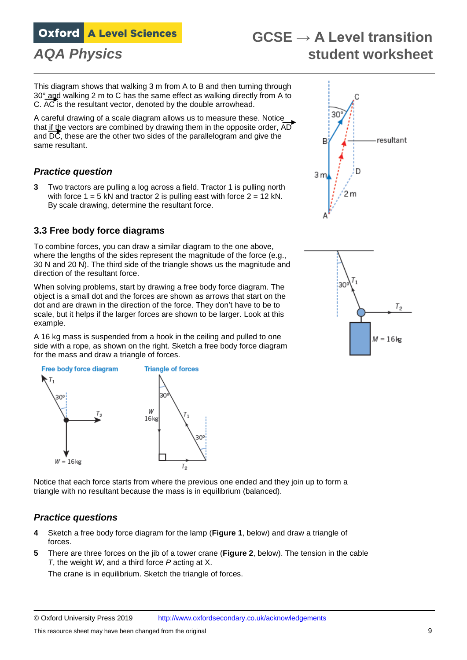# **GCSE → A Level transition** *AQA Physics* **student worksheet**

This diagram shows that walking 3 m from A to B and then turning through 30° and walking 2 m to C has the same effect as walking directly from A to C. AC is the resultant vector, denoted by the double arrowhead.

A careful drawing of a scale diagram allows us to measure these. Notice that if the vectors are combined by drawing them in the opposite order, AD and  $\overline{DC}$ , these are the other two sides of the parallelogram and give the same resultant.

### *Practice question*

**3** Two tractors are pulling a log across a field. Tractor 1 is pulling north with force  $1 = 5$  kN and tractor 2 is pulling east with force  $2 = 12$  kN. By scale drawing, determine the resultant force.

#### **3.3 Free body force diagrams**

To combine forces, you can draw a similar diagram to the one above, where the lengths of the sides represent the magnitude of the force (e.g., 30 N and 20 N). The third side of the triangle shows us the magnitude and direction of the resultant force.

When solving problems, start by drawing a free body force diagram. The object is a small dot and the forces are shown as arrows that start on the dot and are drawn in the direction of the force. They don't have to be to scale, but it helps if the larger forces are shown to be larger. Look at this example.

A 16 kg mass is suspended from a hook in the ceiling and pulled to one side with a rope, as shown on the right. Sketch a free body force diagram for the mass and draw a triangle of forces.



Notice that each force starts from where the previous one ended and they join up to form a triangle with no resultant because the mass is in equilibrium (balanced).

#### *Practice questions*

- **4** Sketch a free body force diagram for the lamp (**Figure 1**, below) and draw a triangle of forces.
- **5** There are three forces on the jib of a tower crane (**Figure 2**, below). The tension in the cable *T*, the weight *W*, and a third force *P* acting at X.

The crane is in equilibrium. Sketch the triangle of forces.



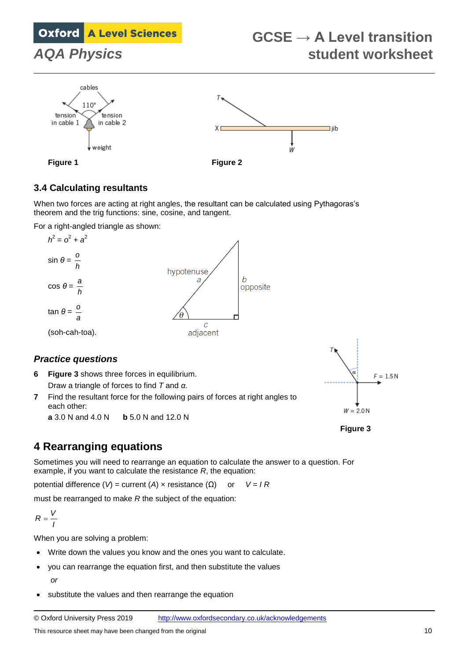# **GCSE → A Level transition** *AQA Physics* **student worksheet**



### **3.4 Calculating resultants**

When two forces are acting at right angles, the resultant can be calculated using Pythagoras's theorem and the trig functions: sine, cosine, and tangent.

For a right-angled triangle as shown:



**6 Figure 3** shows three forces in equilibrium.

Draw a triangle of forces to find *T* and *α*.

**7** Find the resultant force for the following pairs of forces at right angles to each other:

**a** 3.0 N and 4.0 N **b** 5.0 N and 12.0 N



**Figure 3**

# **4 Rearranging equations**

Sometimes you will need to rearrange an equation to calculate the answer to a question. For example, if you want to calculate the resistance *R*, the equation:

potential difference (*V*) = current (*A*) × resistance (Ω) or *V* = *I R*

must be rearranged to make *R* the subject of the equation:

$$
R=\frac{V}{I}
$$

When you are solving a problem:

- Write down the values you know and the ones you want to calculate.
- you can rearrange the equation first, and then substitute the values *or*
- substitute the values and then rearrange the equation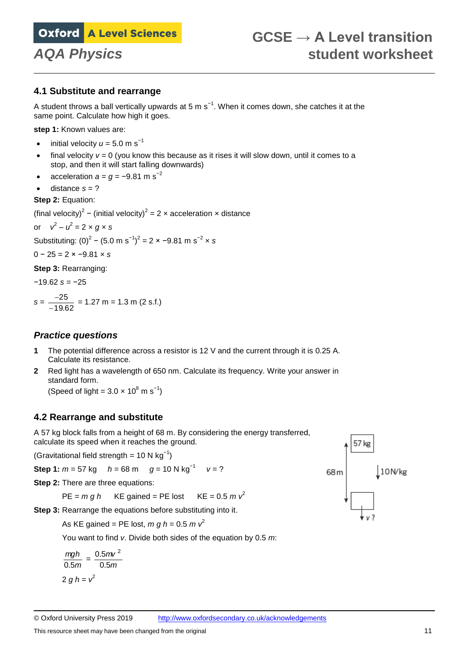#### **4.1 Substitute and rearrange**

A student throws a ball vertically upwards at 5 m s<sup>-1</sup>. When it comes down, she catches it at the same point. Calculate how high it goes.

**step 1:** Known values are:

- initial velocity  $u = 5.0$  m s<sup>-1</sup>
- $\bullet$  final velocity  $v = 0$  (you know this because as it rises it will slow down, until it comes to a stop, and then it will start falling downwards)
- acceleration  $a = a = -9.81$  m s<sup>-2</sup>
- distance  $s = ?$

#### **Step 2:** Equation:

(final velocity)<sup>2</sup> – (initial velocity)<sup>2</sup> = 2 x acceleration x distance

or 
$$
v^2 - u^2 = 2 \times g \times s
$$

Substituting: (0)<sup>2</sup> − (5.0 m s<sup>-1</sup>)<sup>2</sup> = 2 × −9.81 m s<sup>-2</sup> × s

0 − 25 = 2 × −9.81 × *s*

**Step 3:** Rearranging:

−19.62 *s* = −25

$$
s = \frac{-25}{-19.62} = 1.27 \text{ m} = 1.3 \text{ m (2 s.f.)}
$$

#### *Practice questions*

- **1** The potential difference across a resistor is 12 V and the current through it is 0.25 A. Calculate its resistance.
- **2** Red light has a wavelength of 650 nm. Calculate its frequency. Write your answer in standard form.

(Speed of light =  $3.0 \times 10^8$  m s<sup>-1</sup>)

#### **4.2 Rearrange and substitute**

A 57 kg block falls from a height of 68 m. By considering the energy transferred, calculate its speed when it reaches the ground.

(Gravitational field strength = 10 N  $kg^{-1}$ )

**Step 1:**  $m = 57$  kg  $h = 68$  m  $g = 10$  N kg<sup>-1</sup> *v* = ?

**Step 2: There are three equations:** 

 $PE = m a h$  KE gained = PE lost KE = 0.5  $m v<sup>2</sup>$ 

**Step 3:** Rearrange the equations before substituting into it.

As KE gained = PE lost,  $m g h = 0.5 m v^2$ 

You want to find *v*. Divide both sides of the equation by 0.5 *m*:

$$
\frac{mgh}{0.5m} = \frac{0.5mv^2}{0.5m}
$$

$$
2 gh = v^2
$$

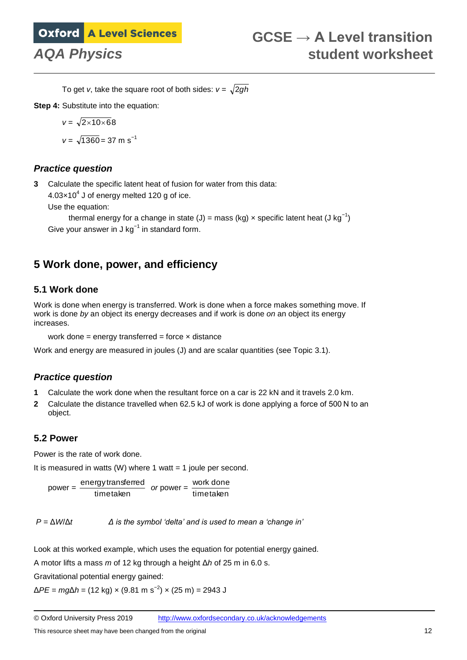To get *v*, take the square root of both sides:  $v = \sqrt{2gh}$ 

**Step 4:** Substitute into the equation:

$$
v = \sqrt{2 \times 10 \times 68}
$$

 $v = \sqrt{1360} = 37 \text{ m s}^{-1}$ 

### *Practice question*

**3** Calculate the specific latent heat of fusion for water from this data:

 $4.03\times10^4$  J of energy melted 120 g of ice.

Use the equation:

thermal energy for a change in state (J) = mass (kg) × specific latent heat (J kg<sup>-1</sup>) Give your answer in J kg $^{-1}$  in standard form.

# **5 Work done, power, and efficiency**

### **5.1 Work done**

Work is done when energy is transferred. Work is done when a force makes something move. If work is done *by* an object its energy decreases and if work is done *on* an object its energy increases.

```
work done = energy transferred = force \times distance
```
Work and energy are measured in joules (J) and are scalar quantities (see Topic 3.1).

### *Practice question*

- **1** Calculate the work done when the resultant force on a car is 22 kN and it travels 2.0 km.
- **2** Calculate the distance travelled when 62.5 kJ of work is done applying a force of 500 N to an object.

### **5.2 Power**

Power is the rate of work done.

It is measured in watts  $(W)$  where 1 watt = 1 joule per second.

 $power = \frac{energy}{time taken}$ energy transferred *or* power = timetaken work done

*P* = Δ*W*/Δ*t Δ is the symbol 'delta' and is used to mean a 'change in'*

Look at this worked example, which uses the equation for potential energy gained.

A motor lifts a mass *m* of 12 kg through a height Δ*h* of 25 m in 6.0 s.

Gravitational potential energy gained:

Δ*PE* = *mg*Δ*h* = (12 kg) × (9.81 m s−2 ) × (25 m) = 2943 J